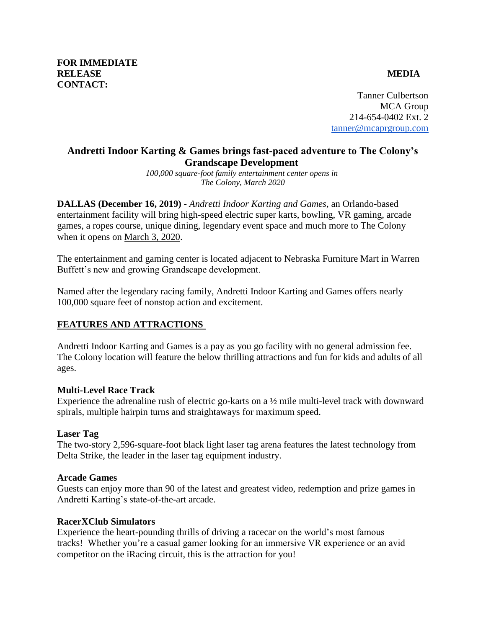Tanner Culbertson MCA Group 214-654-0402 Ext. 2 [tanner@mcaprgroup.com](mailto:tanner@mcaprgroup.com)

# **Andretti Indoor Karting & Games brings fast-paced adventure to The Colony's Grandscape Development**

*100,000 square-foot family entertainment center opens in The Colony, March 2020*

**DALLAS (December 16, 2019) -** *Andretti Indoor Karting and Games,* an Orlando-based entertainment facility will bring high-speed electric super karts, bowling, VR gaming, arcade games, a ropes course, unique dining, legendary event space and much more to The Colony when it opens on March 3, 2020.

The entertainment and gaming center is located adjacent to Nebraska Furniture Mart in Warren Buffett's new and growing Grandscape development.

Named after the legendary racing family, Andretti Indoor Karting and Games offers nearly 100,000 square feet of nonstop action and excitement.

## **FEATURES AND ATTRACTIONS**

Andretti Indoor Karting and Games is a pay as you go facility with no general admission fee. The Colony location will feature the below thrilling attractions and fun for kids and adults of all ages.

## **Multi-Level Race Track**

Experience the adrenaline rush of electric go-karts on a ½ mile multi-level track with downward spirals, multiple hairpin turns and straightaways for maximum speed.

## **Laser Tag**

The two-story 2,596-square-foot black light laser tag arena features the latest technology from Delta Strike, the leader in the laser tag equipment industry.

## **Arcade Games**

Guests can enjoy more than 90 of the latest and greatest video, redemption and prize games in Andretti Karting's state-of-the-art arcade.

## **RacerXClub Simulators**

Experience the heart-pounding thrills of driving a racecar on the world's most famous tracks! Whether you're a casual gamer looking for an immersive VR experience or an avid competitor on the iRacing circuit, this is the attraction for you!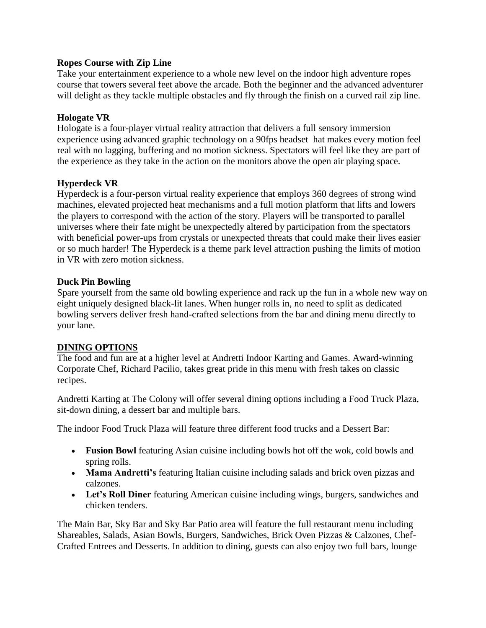### **Ropes Course with Zip Line**

Take your entertainment experience to a whole new level on the indoor high adventure ropes course that towers several feet above the arcade. Both the beginner and the advanced adventurer will delight as they tackle multiple obstacles and fly through the finish on a curved rail zip line.

### **Hologate VR**

Hologate is a four-player virtual reality attraction that delivers a full sensory immersion experience using advanced graphic technology on a 90fps headset hat makes every motion feel real with no lagging, buffering and no motion sickness. Spectators will feel like they are part of the experience as they take in the action on the monitors above the open air playing space.

### **Hyperdeck VR**

Hyperdeck is a four-person virtual reality experience that employs 360 degrees of strong wind machines, elevated projected heat mechanisms and a full motion platform that lifts and lowers the players to correspond with the action of the story. Players will be transported to parallel universes where their fate might be unexpectedly altered by participation from the spectators with beneficial power-ups from crystals or unexpected threats that could make their lives easier or so much harder! The Hyperdeck is a theme park level attraction pushing the limits of motion in VR with zero motion sickness.

#### **Duck Pin Bowling**

Spare yourself from the same old bowling experience and rack up the fun in a whole new way on eight uniquely designed black-lit lanes. When hunger rolls in, no need to split as dedicated bowling servers deliver fresh hand-crafted selections from the bar and dining menu directly to your lane.

## **DINING OPTIONS**

The food and fun are at a higher level at Andretti Indoor Karting and Games. Award-winning Corporate Chef, Richard Pacilio, takes great pride in this menu with fresh takes on classic recipes.

Andretti Karting at The Colony will offer several dining options including a Food Truck Plaza, sit-down dining, a dessert bar and multiple bars.

The indoor Food Truck Plaza will feature three different food trucks and a Dessert Bar:

- **Fusion Bowl** featuring Asian cuisine including bowls hot off the wok, cold bowls and spring rolls.
- **Mama Andretti's** featuring Italian cuisine including salads and brick oven pizzas and calzones.
- **Let's Roll Diner** featuring American cuisine including wings, burgers, sandwiches and chicken tenders.

The Main Bar, Sky Bar and Sky Bar Patio area will feature the full restaurant menu including Shareables, Salads, Asian Bowls, Burgers, Sandwiches, Brick Oven Pizzas & Calzones, Chef-Crafted Entrees and Desserts. In addition to dining, guests can also enjoy two full bars, lounge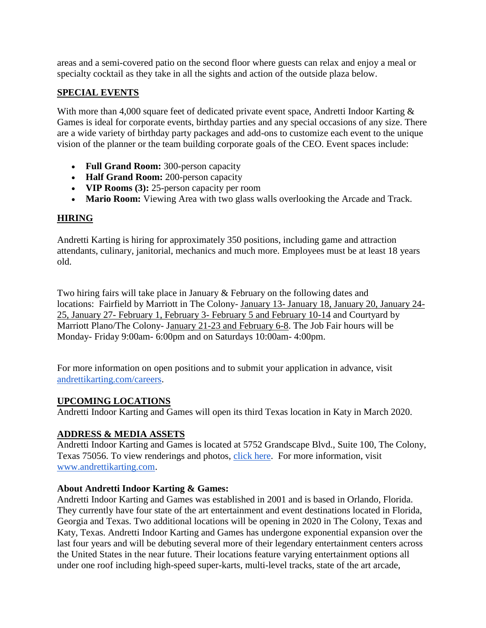areas and a semi-covered patio on the second floor where guests can relax and enjoy a meal or specialty cocktail as they take in all the sights and action of the outside plaza below.

## **SPECIAL EVENTS**

With more than 4,000 square feet of dedicated private event space, Andretti Indoor Karting & Games is ideal for corporate events, birthday parties and any special occasions of any size. There are a wide variety of birthday party packages and add-ons to customize each event to the unique vision of the planner or the team building corporate goals of the CEO. Event spaces include:

- **Full Grand Room:** 300-person capacity
- **Half Grand Room:** 200-person capacity
- **VIP Rooms (3):** 25-person capacity per room
- **Mario Room:** Viewing Area with two glass walls overlooking the Arcade and Track.

## **HIRING**

Andretti Karting is hiring for approximately 350 positions, including game and attraction attendants, culinary, janitorial, mechanics and much more. Employees must be at least 18 years old.

Two hiring fairs will take place in January & February on the following dates and locations: Fairfield by Marriott in The Colony- January 13- January 18, January 20, January 24- 25, January 27- February 1, February 3- February 5 and February 10-14 and Courtyard by Marriott Plano/The Colony- January 21-23 and February 6-8. The Job Fair hours will be Monday- Friday 9:00am- 6:00pm and on Saturdays 10:00am- 4:00pm.

For more information on open positions and to submit your application in advance, visit [andrettikarting.com/careers.](http://www.andrettikarting.com/careers)

## **UPCOMING LOCATIONS**

Andretti Indoor Karting and Games will open its third Texas location in Katy in March 2020.

## **ADDRESS & MEDIA ASSETS**

Andretti Indoor Karting and Games is located at 5752 Grandscape Blvd., Suite 100, The Colony, Texas 75056. To view renderings and photos, [click here.](https://www.dropbox.com/sh/eo6egm4orqi8v88/AAAn5oda1h_oBV3RzQCJsDCWa?dl=0) For more information, visit [www.andrettikarting.com.](http://www.andrettikarting.com/)

## **About Andretti Indoor Karting & Games:**

Andretti Indoor Karting and Games was established in 2001 and is based in Orlando, Florida. They currently have four state of the art entertainment and event destinations located in Florida, Georgia and Texas. Two additional locations will be opening in 2020 in The Colony, Texas and Katy, Texas. Andretti Indoor Karting and Games has undergone exponential expansion over the last four years and will be debuting several more of their legendary entertainment centers across the United States in the near future. Their locations feature varying entertainment options all under one roof including high-speed super-karts, multi-level tracks, state of the art arcade,